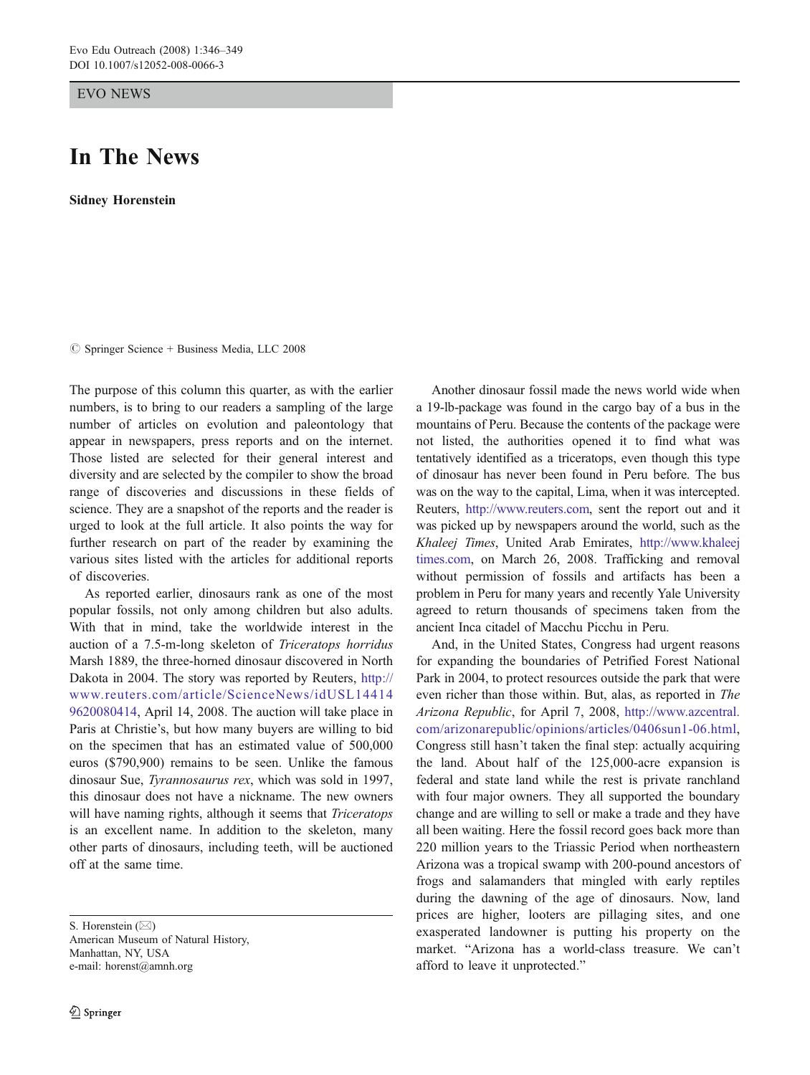EVO NEWS

## In The News

Sidney Horenstein

 $\circledcirc$  Springer Science + Business Media, LLC 2008

The purpose of this column this quarter, as with the earlier numbers, is to bring to our readers a sampling of the large number of articles on evolution and paleontology that appear in newspapers, press reports and on the internet. Those listed are selected for their general interest and diversity and are selected by the compiler to show the broad range of discoveries and discussions in these fields of science. They are a snapshot of the reports and the reader is urged to look at the full article. It also points the way for further research on part of the reader by examining the various sites listed with the articles for additional reports of discoveries.

As reported earlier, dinosaurs rank as one of the most popular fossils, not only among children but also adults. With that in mind, take the worldwide interest in the auction of a 7.5-m-long skeleton of Triceratops horridus Marsh 1889, the three-horned dinosaur discovered in North Dakota in 2004. The story was reported by Reuters, [http://](http://www.reuters.com/article/ScienceNews/idUSL144149620080414) [www.reuters.com/article/ScienceNews/idUSL14414](http://www.reuters.com/article/ScienceNews/idUSL144149620080414) [9620080414,](http://www.reuters.com/article/ScienceNews/idUSL144149620080414) April 14, 2008. The auction will take place in Paris at Christie's, but how many buyers are willing to bid on the specimen that has an estimated value of 500,000 euros (\$790,900) remains to be seen. Unlike the famous dinosaur Sue, Tyrannosaurus rex, which was sold in 1997, this dinosaur does not have a nickname. The new owners will have naming rights, although it seems that Triceratops is an excellent name. In addition to the skeleton, many other parts of dinosaurs, including teeth, will be auctioned off at the same time.

S. Horenstein ( $\boxtimes$ )

American Museum of Natural History, Manhattan, NY, USA e-mail: horenst@amnh.org

Another dinosaur fossil made the news world wide when a 19-lb-package was found in the cargo bay of a bus in the mountains of Peru. Because the contents of the package were not listed, the authorities opened it to find what was tentatively identified as a triceratops, even though this type of dinosaur has never been found in Peru before. The bus was on the way to the capital, Lima, when it was intercepted. Reuters, <http://www.reuters.com>, sent the report out and it was picked up by newspapers around the world, such as the Khaleej Times, United Arab Emirates, [http://www.khaleej](http://www.khaleejtimes.com) [times.com](http://www.khaleejtimes.com), on March 26, 2008. Trafficking and removal without permission of fossils and artifacts has been a problem in Peru for many years and recently Yale University agreed to return thousands of specimens taken from the ancient Inca citadel of Macchu Picchu in Peru.

And, in the United States, Congress had urgent reasons for expanding the boundaries of Petrified Forest National Park in 2004, to protect resources outside the park that were even richer than those within. But, alas, as reported in The Arizona Republic, for April 7, 2008, [http://www.azcentral.](http://www.azcentral.com/arizonarepublic/opinions/articles/0406sun1-06.html) [com/arizonarepublic/opinions/articles/0406sun1-06.html,](http://www.azcentral.com/arizonarepublic/opinions/articles/0406sun1-06.html) Congress still hasn't taken the final step: actually acquiring the land. About half of the 125,000-acre expansion is federal and state land while the rest is private ranchland with four major owners. They all supported the boundary change and are willing to sell or make a trade and they have all been waiting. Here the fossil record goes back more than 220 million years to the Triassic Period when northeastern Arizona was a tropical swamp with 200-pound ancestors of frogs and salamanders that mingled with early reptiles during the dawning of the age of dinosaurs. Now, land prices are higher, looters are pillaging sites, and one exasperated landowner is putting his property on the market. "Arizona has a world-class treasure. We can't afford to leave it unprotected."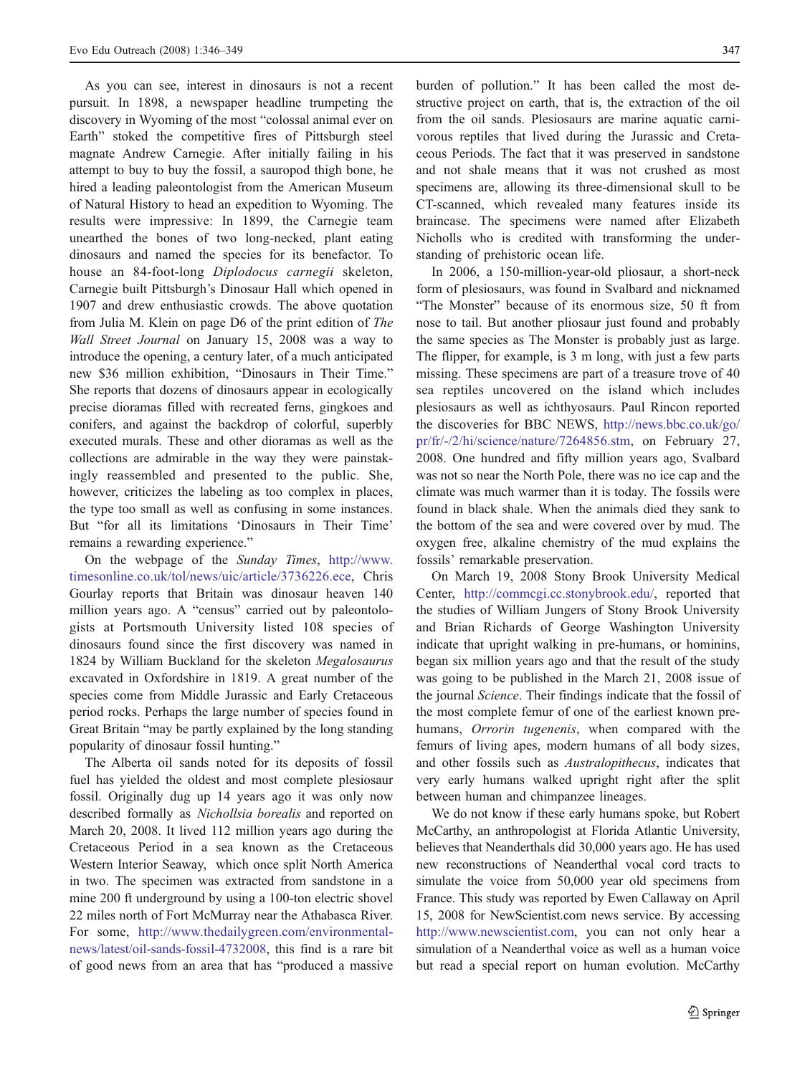As you can see, interest in dinosaurs is not a recent pursuit. In 1898, a newspaper headline trumpeting the discovery in Wyoming of the most "colossal animal ever on Earth" stoked the competitive fires of Pittsburgh steel magnate Andrew Carnegie. After initially failing in his attempt to buy to buy the fossil, a sauropod thigh bone, he hired a leading paleontologist from the American Museum of Natural History to head an expedition to Wyoming. The results were impressive: In 1899, the Carnegie team unearthed the bones of two long-necked, plant eating dinosaurs and named the species for its benefactor. To house an 84-foot-long Diplodocus carnegii skeleton, Carnegie built Pittsburgh's Dinosaur Hall which opened in 1907 and drew enthusiastic crowds. The above quotation from Julia M. Klein on page D6 of the print edition of The Wall Street Journal on January 15, 2008 was a way to introduce the opening, a century later, of a much anticipated new \$36 million exhibition, "Dinosaurs in Their Time." She reports that dozens of dinosaurs appear in ecologically precise dioramas filled with recreated ferns, gingkoes and conifers, and against the backdrop of colorful, superbly executed murals. These and other dioramas as well as the collections are admirable in the way they were painstakingly reassembled and presented to the public. She, however, criticizes the labeling as too complex in places, the type too small as well as confusing in some instances. But "for all its limitations 'Dinosaurs in Their Time' remains a rewarding experience."

On the webpage of the Sunday Times, [http://www.](http://www.timesonline.co.uk/tol/news/uic/article/3736223.ece) [timesonline.co.uk/tol/news/uic/article/3736226.ece](http://www.timesonline.co.uk/tol/news/uic/article/3736223.ece), Chris Gourlay reports that Britain was dinosaur heaven 140 million years ago. A "census" carried out by paleontologists at Portsmouth University listed 108 species of dinosaurs found since the first discovery was named in 1824 by William Buckland for the skeleton Megalosaurus excavated in Oxfordshire in 1819. A great number of the species come from Middle Jurassic and Early Cretaceous period rocks. Perhaps the large number of species found in Great Britain "may be partly explained by the long standing popularity of dinosaur fossil hunting."

The Alberta oil sands noted for its deposits of fossil fuel has yielded the oldest and most complete plesiosaur fossil. Originally dug up 14 years ago it was only now described formally as Nichollsia borealis and reported on March 20, 2008. It lived 112 million years ago during the Cretaceous Period in a sea known as the Cretaceous Western Interior Seaway, which once split North America in two. The specimen was extracted from sandstone in a mine 200 ft underground by using a 100-ton electric shovel 22 miles north of Fort McMurray near the Athabasca River. For some, [http://www.thedailygreen.com/environmental](http://www.thedailygreen.com/environmental-news/latest/oil-sands-fossil-4732008)[news/latest/oil-sands-fossil-4732008,](http://www.thedailygreen.com/environmental-news/latest/oil-sands-fossil-4732008) this find is a rare bit of good news from an area that has "produced a massive

burden of pollution." It has been called the most destructive project on earth, that is, the extraction of the oil from the oil sands. Plesiosaurs are marine aquatic carnivorous reptiles that lived during the Jurassic and Cretaceous Periods. The fact that it was preserved in sandstone and not shale means that it was not crushed as most specimens are, allowing its three-dimensional skull to be CT-scanned, which revealed many features inside its braincase. The specimens were named after Elizabeth Nicholls who is credited with transforming the understanding of prehistoric ocean life.

In 2006, a 150-million-year-old pliosaur, a short-neck form of plesiosaurs, was found in Svalbard and nicknamed "The Monster" because of its enormous size, 50 ft from nose to tail. But another pliosaur just found and probably the same species as The Monster is probably just as large. The flipper, for example, is 3 m long, with just a few parts missing. These specimens are part of a treasure trove of 40 sea reptiles uncovered on the island which includes plesiosaurs as well as ichthyosaurs. Paul Rincon reported the discoveries for BBC NEWS, [http://news.bbc.co.uk/go/](http://news.bbc.co.uk/go/pr/fr/-/2/hi/science/nature/7264856.stm) [pr/fr/-/2/hi/science/nature/7264856.stm,](http://news.bbc.co.uk/go/pr/fr/-/2/hi/science/nature/7264856.stm) on February 27, 2008. One hundred and fifty million years ago, Svalbard was not so near the North Pole, there was no ice cap and the climate was much warmer than it is today. The fossils were found in black shale. When the animals died they sank to the bottom of the sea and were covered over by mud. The oxygen free, alkaline chemistry of the mud explains the fossils' remarkable preservation.

On March 19, 2008 Stony Brook University Medical Center, <http://commcgi.cc.stonybrook.edu/>, reported that the studies of William Jungers of Stony Brook University and Brian Richards of George Washington University indicate that upright walking in pre-humans, or hominins, began six million years ago and that the result of the study was going to be published in the March 21, 2008 issue of the journal Science. Their findings indicate that the fossil of the most complete femur of one of the earliest known prehumans, Orrorin tugenenis, when compared with the femurs of living apes, modern humans of all body sizes, and other fossils such as Australopithecus, indicates that very early humans walked upright right after the split between human and chimpanzee lineages.

We do not know if these early humans spoke, but Robert McCarthy, an anthropologist at Florida Atlantic University, believes that Neanderthals did 30,000 years ago. He has used new reconstructions of Neanderthal vocal cord tracts to simulate the voice from 50,000 year old specimens from France. This study was reported by Ewen Callaway on April 15, 2008 for NewScientist.com news service. By accessing <http://www.newscientist.com>, you can not only hear a simulation of a Neanderthal voice as well as a human voice but read a special report on human evolution. McCarthy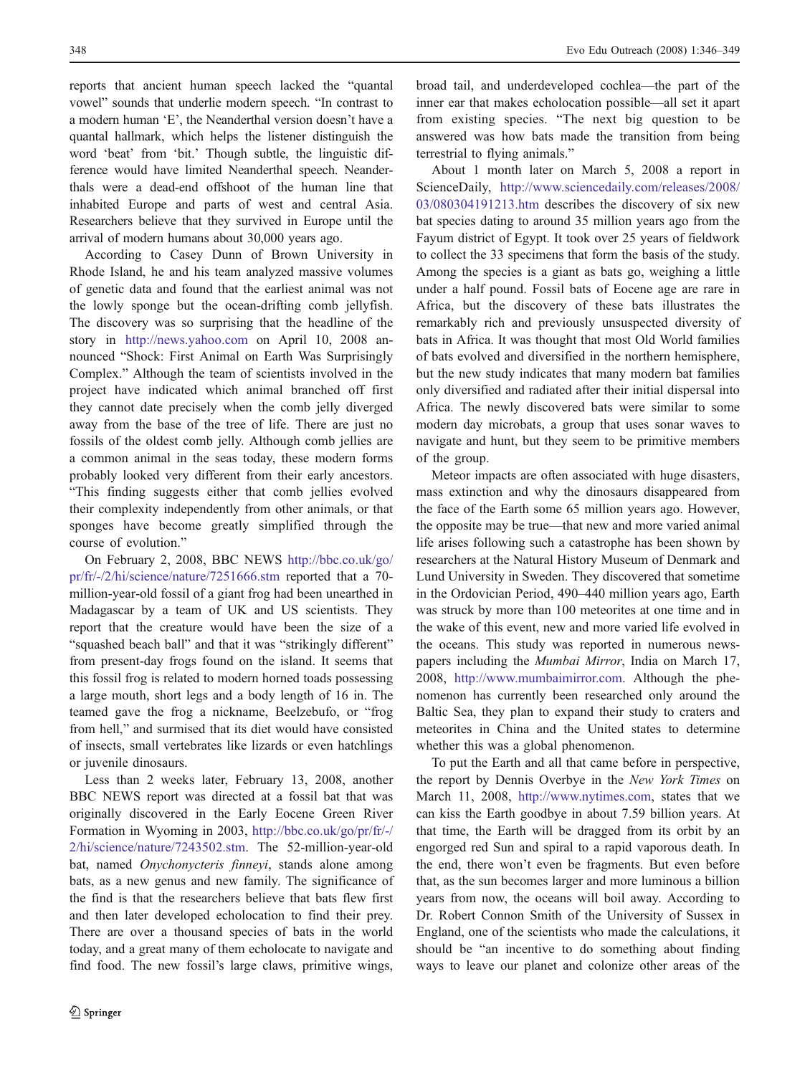reports that ancient human speech lacked the "quantal vowel" sounds that underlie modern speech. "In contrast to a modern human 'E', the Neanderthal version doesn't have a quantal hallmark, which helps the listener distinguish the word 'beat' from 'bit.' Though subtle, the linguistic difference would have limited Neanderthal speech. Neanderthals were a dead-end offshoot of the human line that inhabited Europe and parts of west and central Asia. Researchers believe that they survived in Europe until the arrival of modern humans about 30,000 years ago.

According to Casey Dunn of Brown University in Rhode Island, he and his team analyzed massive volumes of genetic data and found that the earliest animal was not the lowly sponge but the ocean-drifting comb jellyfish. The discovery was so surprising that the headline of the story in <http://news.yahoo.com> on April 10, 2008 announced "Shock: First Animal on Earth Was Surprisingly Complex." Although the team of scientists involved in the project have indicated which animal branched off first they cannot date precisely when the comb jelly diverged away from the base of the tree of life. There are just no fossils of the oldest comb jelly. Although comb jellies are a common animal in the seas today, these modern forms probably looked very different from their early ancestors. "This finding suggests either that comb jellies evolved their complexity independently from other animals, or that sponges have become greatly simplified through the course of evolution."

On February 2, 2008, BBC NEWS [http://bbc.co.uk/go/](http://bbc.co.uk/go/pr/fr/-/2/hi/science/nature/7251666.stm) [pr/fr/-/2/hi/science/nature/7251666.stm](http://bbc.co.uk/go/pr/fr/-/2/hi/science/nature/7251666.stm) reported that a 70 million-year-old fossil of a giant frog had been unearthed in Madagascar by a team of UK and US scientists. They report that the creature would have been the size of a "squashed beach ball" and that it was "strikingly different" from present-day frogs found on the island. It seems that this fossil frog is related to modern horned toads possessing a large mouth, short legs and a body length of 16 in. The teamed gave the frog a nickname, Beelzebufo, or "frog from hell," and surmised that its diet would have consisted of insects, small vertebrates like lizards or even hatchlings or juvenile dinosaurs.

Less than 2 weeks later, February 13, 2008, another BBC NEWS report was directed at a fossil bat that was originally discovered in the Early Eocene Green River Formation in Wyoming in 2003, [http://bbc.co.uk/go/pr/fr/-/](http://bbc.co.uk/go/pr/fr/-/2/hi/science/nature/7243502.stm) [2/hi/science/nature/7243502.stm.](http://bbc.co.uk/go/pr/fr/-/2/hi/science/nature/7243502.stm) The 52-million-year-old bat, named Onychonycteris finneyi, stands alone among bats, as a new genus and new family. The significance of the find is that the researchers believe that bats flew first and then later developed echolocation to find their prey. There are over a thousand species of bats in the world today, and a great many of them echolocate to navigate and find food. The new fossil's large claws, primitive wings,

broad tail, and underdeveloped cochlea—the part of the inner ear that makes echolocation possible—all set it apart from existing species. "The next big question to be answered was how bats made the transition from being terrestrial to flying animals."

About 1 month later on March 5, 2008 a report in ScienceDaily, [http://www.sciencedaily.com/releases/2008/](http://www.sciencedaily.com/releases/2008/03/080304191213.htm) [03/080304191213.htm](http://www.sciencedaily.com/releases/2008/03/080304191213.htm) describes the discovery of six new bat species dating to around 35 million years ago from the Fayum district of Egypt. It took over 25 years of fieldwork to collect the 33 specimens that form the basis of the study. Among the species is a giant as bats go, weighing a little under a half pound. Fossil bats of Eocene age are rare in Africa, but the discovery of these bats illustrates the remarkably rich and previously unsuspected diversity of bats in Africa. It was thought that most Old World families of bats evolved and diversified in the northern hemisphere, but the new study indicates that many modern bat families only diversified and radiated after their initial dispersal into Africa. The newly discovered bats were similar to some modern day microbats, a group that uses sonar waves to navigate and hunt, but they seem to be primitive members of the group.

Meteor impacts are often associated with huge disasters, mass extinction and why the dinosaurs disappeared from the face of the Earth some 65 million years ago. However, the opposite may be true—that new and more varied animal life arises following such a catastrophe has been shown by researchers at the Natural History Museum of Denmark and Lund University in Sweden. They discovered that sometime in the Ordovician Period, 490–440 million years ago, Earth was struck by more than 100 meteorites at one time and in the wake of this event, new and more varied life evolved in the oceans. This study was reported in numerous newspapers including the Mumbai Mirror, India on March 17, 2008, [http://www.mumbaimirror.com.](http://www.mumbaimirror.com) Although the phenomenon has currently been researched only around the Baltic Sea, they plan to expand their study to craters and meteorites in China and the United states to determine whether this was a global phenomenon.

To put the Earth and all that came before in perspective, the report by Dennis Overbye in the New York Times on March 11, 2008, [http://www.nytimes.com,](http://www.nytimes.com) states that we can kiss the Earth goodbye in about 7.59 billion years. At that time, the Earth will be dragged from its orbit by an engorged red Sun and spiral to a rapid vaporous death. In the end, there won't even be fragments. But even before that, as the sun becomes larger and more luminous a billion years from now, the oceans will boil away. According to Dr. Robert Connon Smith of the University of Sussex in England, one of the scientists who made the calculations, it should be "an incentive to do something about finding ways to leave our planet and colonize other areas of the